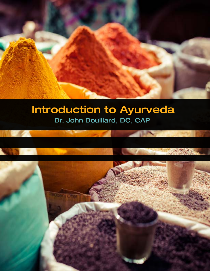# Introduction to Ayurveda Dr. John Douillard, DC, CAP

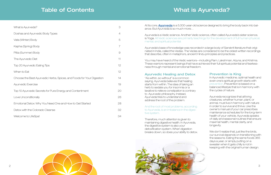# What is Ayurveda?

In Ayurvedic medicine, optimal health and even one's spiritual growth starts with prevention. Prevention is based on a balanced lifestyle that is in harmony with the cycles of nature.

Ayurveda recognizes that all living creatures, whether human, plant, or animal, must live in harmony with nature in order to survive and thrive. Like the owner's manual of your car prescribes maintenance schedules for the long-term health of your vehicle, Ayurveda speaks of daily and seasonal routines that ensure maximal health, mental clarity, and longevity.

We don't realize that, just like the birds, our survival depends on transitioning with the seasons. Eating the same foods 365 days a year, or simply putting on a sweater when it gets chilly is not in keeping with the original human design.



At its core, **[Ayurveda](https://lifespa.com/about-lifespa/ayurveda/what-is-ayurveda/)** is a 5,000-year-old science designed to bring the body back into balance. But Ayurveda is so much more…

"As within, so without" is a common saying. Ayurveda believes that healing starts from within. The idea of taking an herb to sedate you for insomnia or a laxative to relieve constipation is contrary to Ayurvedic philosophy. Instead, Ayurveda tries to understand and address the root of the problem.

And the root of most problems, according to Ayurveda, is an imbalance in the digestive system.

Therefore, much attention is given to maintaining digestive health. In Ayurveda, the digestive system is also your detoxification system. When digestion breaks down, so does your ability to detox.

Ayurveda is a Vedic science. Another Vedic science, often called Ayurveda's sister science, is Yoga. All Vedic sciences are primarily teachings for the development of full human physical, mental, and spiritual potential.

Ayurveda's base of knowledge was recorded in a large body of Sanskrit literature that originated in India, called the Vedas. The Vedas are considered to be the oldest written recordings that describe, often in metaphors, ancient Hindu principles and practices.

You may have heard of the Vedic warriors—including Ram, Lakshman, Arjuna, and Krishna. These warriors represent beings that have achieved their full spiritual potential and fearlessness through mental and emotional freedom.

# Ayurvedic Healing and Detox Prevention is King

# **Table of Contents**

| What is Ayurveda?                                                     | 3              |
|-----------------------------------------------------------------------|----------------|
| Doshas and Ayurvedic Body Types                                       | $\overline{4}$ |
| Vata (Winter) Body                                                    | 5              |
| Kapha (Spring) Body                                                   | $\overline{7}$ |
| Pitta (Summer) Body                                                   | $\Theta$       |
| The Ayurvedic Diet                                                    | 11             |
| Top 20 Ayurvedic Eating Tips                                          | 12             |
| When to Eat                                                           | 12             |
| Choose the Best Ayurvedic Herbs, Spices, and Foods for Your Digestion | 14             |
| Ayurvedic Exercise                                                    | 19             |
| Top 10 Ayurvedic Secrets for Pure Energy and Contentment              | 20             |
| Love Unconditionally                                                  | 26             |
| Emotional Detox: Why You Need One and How to Get Started              | 28             |
| Detox with the Colorado Cleanse                                       | 32             |
| Welcome to LifeSpa!                                                   | 34             |

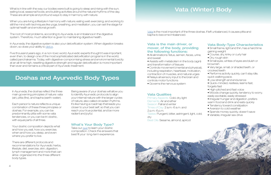<span id="page-2-0"></span>What is in line with the way our bodies were built is going to sleep and rising with the sun; eating local, seasonal foods; and building activities around the natural rhythms of the day. These are all simple and profound ways to stay in harmony with nature.

When you are living a lifestyle in harmony with nature; eating well; exercising; and working to still the mind with techniques like yoga, breathing, and meditation, you can set the stage for optimal health and emotional growth.

The root of most problems, according to Ayurveda, is an imbalance in the digestive system. Therefore, much attention is given to maintaining digestive health.

In Ayurveda, the digestive system is also your detoxification system. When digestion breaks down, so does your ability to [detox](https://lifespa.com/cleansing/).

Five thousand years ago, in a non-toxic world, Ayurvedic experts thought it was important, even then, to design one of the most sophisticated detoxification programs in the world, called panchakarma. Today, with digestive-compromising stress and environmental toxicity at an all-time high, resetting digestive strength and regular detoxification is more important than ever and remains a critical part of Ayurvedic treatment.

In Ayurveda, the doshas reflect the three main governing principles of nature: vata (air), pitta (fire), and kapha (earth-water).

Each person's nature reflects a unique combination of these three principles or doshas. For example, you can be predominantly pitta with some vata tendencies, or you can be tri-doshic, with equal parts of all three.

Your doshic composition depicts what and how you eat, how you exercise, when and how you sleep, and even where you prefer to live.

There are different protocols and recommendations for Ayurvedic herbs, lifestyle, diet, exercise, skin, digestion, lymph management and more that can all be organized into the three different body types.

# Doshas and Ayurvedic Body Types

# Vata (Winter) Body

## Vata is the main driver, or mover, of the body, providing the following functions:

- All eliminations: fetus, semen, feces, urine, and sweat
- Assists with metabolism in the body (agni) and transformation of tissues • Small eyes, whites of eyes are bluish or brownish
- Controls movement (mental and physical), including respiration, heartbeat, motivation, contraction of muscles, and natural urges • Relays all sensory input to the brain and • Very large, small, or shaded teeth, or crooked teeth • Performs activity quickly, can't stay idle, quick walking pace.
- controls motor functions
- Governs the nervous system

### Vata Qualities

Primary Aspects: Cold, dry, light Elements: Air and ether Season: Fall and winter Times of Day: 2 a.m.-6 a.m. and 2 p.m.-6 p.m. Tastes: Pungent, bitter, astringent, light, cold, dry Best Oils: Sesame, almond, apricot

[Vata](https://lifespa.com/vata-ayurvedic-constitution/) is the most important of the three doshas. If left unbalanced, it causes pitta and kapha to become imbalanced.

Being aware of your doshas will allow you to identify Ayurvedic protocols to align your internal nature with the larger cycles of nature, also called circadian rhythms. It's like having a roadmap that leads you closer to your best self, so that you can reach your true potential, and be more radiant and joyful.

### What's Your Body Type?

Take our [quiz](https://lifespa.com/ayurvedic-health-quizzes/body-type-quiz-dosha-ayurveda/) to learn your doshic composition. Check the answers that best fit your long-term experience.

| <b>Vata Body-Type Characteristics</b>                |  |
|------------------------------------------------------|--|
| $\bullet$ Small frame light and thin has a hard time |  |

- Small frame, light and thin, has a hard time gaining weight
- Course, dry, kinky or curly hair
- Dry, rough skin

- Low strength and endurance
- Quick-minded, restless, learns fast, forgets fast
- High-pitched and fast voice
- Moods change quickly, tendency to worry, easily excitable, easily stressed
- Irregular hunger and digestion, prefers warm food and drink and eats quickly
- 
- Tendency toward constipation
- Aversion to cold weather
- Spends money quickly, doesn't save
- Variable, irregular sex drive

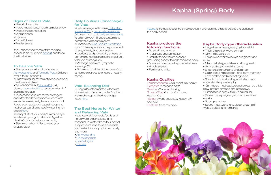# <span id="page-3-0"></span>Signs of Excess Vata

- Sleep imbalances
- Mood imbalances, including melancholy
- Occasional constipation
- Mild achiness
- Dryness
- Forgetfulness
- Restlessness

If you experience some of these signs, schedule an Ayurvedic [consult](https://lifespa.com/about-lifespa/ayurvedic-clinic/?utm_source=intro%20to%20ayurveda&utm_medium=ebook&utm_campaign=consultation) and follow the tips below.

### To Balance Vata

• Start your day with 1-2 capsules of [Ashwagandha](https://store.lifespa.com/product/ashwagandha-capsules/?utm_source=ebook&utm_medium=intro&utm_campaign=Ashwaghandha) and [Turmeric Plus](https://store.lifespa.com/product/turmeric-plus-capsules/?utm_source=intro%20to%20ayurveda&utm_medium=ebook&utm_campaign=Turmeric%20Plus). (Children over 4 take 1 of each.)

- Follow a regular rhythm of sleep, exercise, mealtimes, and rest
- Take 3-5000 IU of [Vitamin D3](https://store.lifespa.com/product/liquid-sun-vitamin-d3/?utm_source=intro%20to%20ayurveda&utm_medium=ebook&utm_campaign=D3) daily. Use our [home test kit](https://store.lifespa.com/product/vitamin-d-testing-kit/?utm_source=intro%20to%20ayurveda&utm_medium=ebook&utm_campaign=vitamin%20d%20test%20kit) to test your vitamin D levels before use
- To increase vata, eat fewer astringent and bitter foods; to balance excess vata, eat more sweet, salty, heavy, oily and hot foods, such as savory squash soup and hot herbal tea. (See a list of winter-friendly foods [here](https://lifespa.com/wp-content/uploads/2019/10/Winter-Grocery-List.pdf).)

• Nearly 80% of your body's immune system lives in your gut. Take our Digestive Health Quiz to boost your immunity • Sleep with a humidifier to keep your sinuses clear

# Kapha (Spring) Body

[Kapha](https://lifespa.com/kapha-ayurvedic-constitution/) is the heaviest of the three doshas. It provides the structures and the lubrication the body needs.

# Kapha provides the following functions:

- Strength and energy
- Moistness and lubrication
- Stability to add the necessary
- grounding aspect to both mind and body.
- Mass and structure to provide fullness to bodily tissues
- Fertility and virility

• Practice my One-Minute Meditation up to 10 times per day to help cope with stress, anxiety, and depression.

## Kapha Qualities

Primary Aspects: Cold, moist, oily, heavy Elements: Water and earth Season: Winter and spring Times of Day: 6 a.m.–10 a.m. and 6 p.m.–10 p.m. Tastes: Sweet, sour, salty, heavy, oily, and cold Best Oils: Sesame, olive

# Kapha Body-Type Characteristics

- Large frame, heavy, easily gains weight
- Thick, straight or wavy, oily hair
- Oily, moist, pale skin
- Large eyes, whites of eyes are glossy and white
- Medium to large, white and strong teeth
- Slow and steady walking pace
- Excellent strength and endurance
- Calm, steady disposition, long-term memory
- Low-pitched and resonating voice
- Steady moods, slow to get irritated, very understanding, easy-going
- Can miss a meal easily, digestion can be a little slow, prefers dry food and eats slowly
- Elimination is heavy, thick, and regular
- Saves money regularly and accumulates wealth.
- Strong sex drive
- Sound, heavy, and long sleep; dreams of water, clouds, and romance

# Daily Routines (Dinacharya) for Vata

• Self-massage with warm [Tri-Doshic](https://store.lifespa.com/product/tri-doshic-massage-oil-4oz/?utm_source=intro%20to%20ayurveda&utm_medium=ebook&utm_campaign=Tri-Doshic%20Massage%20Oil)  [Massage Oil](https://store.lifespa.com/product/tri-doshic-massage-oil-4oz/?utm_source=intro%20to%20ayurveda&utm_medium=ebook&utm_campaign=Tri-Doshic%20Massage%20Oil) or [Lymphatic Massage](https://store.lifespa.com/product/lymphatic-massage-oil-4-oz/?utm_source=intro%20to%20ayurveda&utm_medium=ebook&utm_campaign=Lymphatic%20Massage%20Oil)  [Oil. L](https://store.lifespa.com/product/lymphatic-massage-oil-4-oz/?utm_source=intro%20to%20ayurveda&utm_medium=ebook&utm_campaign=Lymphatic%20Massage%20Oil)earn how to do [daily self-massage](https://lifespa.com/ayurvedic-daily-home-oil-massage-abhyanga/) to balance your nervous system and detox your lymphatic system.

- Lubricate and protect dry sinuses by performing neti (gentle saline irrigation), followed by nasya (oil).
- Massage ears with Lymphatic Massage Oil.
- At the end of winter, follow one of our at-home cleanses to ensure a healthy spring.

# Vata-Balancing Diet

During fall/winter months, which are November to February in the Northern Hemisphere, prioritize the diet tips listed [here.](https://lifespa.com/winter-grocery-list-vata-balancing-diet/https://lifespa.com/winter-grocery-list-vata-balancing-diet/)

# The Best Herbs for Winter and Balancing Vata

Historically, all Ayurvedic foods and herbs were organic, local, and seasonal. In winter, these four herbal supplements tend to be accessible, and perfect for supporting immunity and more:

- • [Ashwagandha](https://store.lifespa.com/product/ashwagandha-capsules/?utm_source=ebook&utm_medium=intro&utm_campaign=Ashwaghandha)
- • [Chyawanprash](https://store.lifespa.com/product/organic-chyawanprash/?utm_source=ebook&utm_medium=intro&utm_campaign=Chyawanaprash)
- • [Gentle Digest](https://store.lifespa.com/product/gentle-digest-capsules/?utm_source=ebook&utm_medium=intro&utm_campaign=Gentle%20Digest)
- • [Triphala](https://store.lifespa.com/product/triphala-capsules-trifala/?utm_source=ebook&utm_medium=intro&utm_campaign=Triphala)

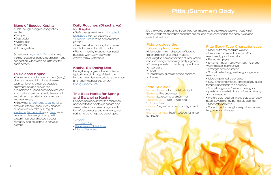# Pitta (Summer) Body

- Cold, cough, allergies, congestion, and flu
- Fatigue
- Depression
- Weight gain
- Brain fog
- Slow digestion

# <span id="page-4-0"></span>Signs of Excess Kapha

Schedule an [Ayurvedic Consult](https://lifespa.com/about-lifespa/ayurvedic-clinic/?utm_source=intro%20to%20ayurveda&utm_medium=ebook&utm_campaign=consultation) to treat the root cause of fatigue, depression, and congestion, which can be different for each person.

## To Balance Kapha

- Eat more foods that are pungent (spicy), bitter, astringent, light, dry, and warm, such as flavorful steamed veggies, brothy soups, and brown rice
- To balance a kapha deficiency, eat less food that is sweet, sour, salty, heavy, cold, and oily, such as fried foods, ice cream, and heavy dairy
- Follow our [Short Home Cleanse](https://lifespa.com/cleansing/short-home-ayurvedic-cleanse/) for a simple but thorough four-day cleanse • For six weeks, take 500 mg of [Manjistha](https://store.lifespa.com/product/manjistha-capsules/?utm_source=ebook&utm_medium=intro&utm_campaign=Manjistha), [Turmeric Plus](https://store.lifespa.com/product/turmeric-plus-capsules/?utm_source=intro%20to%20ayurveda&utm_medium=ebook&utm_campaign=Turmeric%20Plus) and [Tulsi t](https://store.lifespa.com/product/tulsi-holy-basil-capsules/?utm_source=intro%20to%20ayurveda&utm_medium=ebook&utm_campaign=Tulsi)wice
- per day to cleanse your lymphatic system, heal your digestion, boost immunity, and nourish your nervous system

# Daily Routines (Dinacharya) for Kapha

- Self-massage with warm [Lymphatic](https://store.lifespa.com/product/lymphatic-massage-oil-4-oz/?utm_source=intro%20to%20ayurveda&utm_medium=ebook&utm_campaign=Lymphatic%20Massage%20Oil)
- [Massage Oil](https://store.lifespa.com/product/lymphatic-massage-oil-4-oz/?utm_source=intro%20to%20ayurveda&utm_medium=ebook&utm_campaign=Lymphatic%20Massage%20Oil) or raw sesame oil
- • [Bellows Breath](https://lifespa.com/bhastrika/) three or more times per day
- Exercise in the morning to increase circulation, mood, and immunity
- Perform neti by irrigating your nasal passage with warm salt water. Always follow with nasya

# Kapha-Balancing Diet

Primary Aspects: Hot, moist, oily, light Elements: Fire and water Season: Late spring and summer Times of Day: 10 p.m.–2 a.m. and 10 a.m.–2 p.m. Tastes: Pungent, sour, salty, hot, light, and dry Best Oils for Pitta: Sesame, coconut, ghee, sunflower

- Medium frame, medium weight
- •Thin, lustrous hair with fine curls Soft,
- medium oily, pink to red skin
- 
- Penetrating eyes
- Small to medium yellowish teeth Average walking pace, competitive
- Strength and endurance
- Sharp intellect, aggressive, good general memory
- Medium pitched, clear voice
- Slow changing moods, angers easily, quick temper, likes things to be orderly.
- Sharp hunger, can't miss a meal, good digestion, normal elimination. Aversion to dry and hot weather
- Prefers cold food/drink and eats at an easy pace. Saves money, but is a big spender
- Moderate sex drive
- Sound, medium length sleep, dreams are fiery, violent and angry

During the spring months, which are typically March through May in the Northern Hemisphere, prioritize the foods and recommendations on our [Spring Grocery List.](https://lifespa.com/wp-content/uploads/2015/02/Spring-Grocery-List_-while-cleansing.pdf)

# The Best Herbs for Spring and Balancing Kapha

Science has shown that the microbes attached to the plants we eat are also seasonal and inoculate our guts with beneficial seasonal bacteria. Here, four spring herbs to help you decongest:

- • [Amalaki](https://store.lifespa.com/product/amalaki-amla-capsules/?utm_source=ebook&utm_medium=intro&utm_campaign=Amalaki)
- • [Turmeric Plus](https://store.lifespa.com/product/turmeric-plus-capsules/?utm_source=intro%20to%20ayurveda&utm_medium=ebook&utm_campaign=Turmeric%20Plus)
- • [Regenerate \(Shilajit Plus\)](https://store.lifespa.com/product/regenerate-shilajit-capsules/?utm_source=ebook&utm_medium=intro&utm_campaign=Shilajit%20Plus)
- • [Mucus Destroyer](https://store.lifespa.com/product/mucus-destroyer-capsules/?utm_source=ebook&utm_medium=intro&utm_campaign=Mucus%20Destroyer)

Do the words burnout, hothead, fired-up, irritable, and angry resonate with you? All of these words reflect imbalances that are caused by excess heat in the body. Ayurveda calls this heat [pitta.](https://lifespa.com/pitta-ayurvedic-constitution/)

### Pitta provides the following functions:

• Metabolism–from digestion of food to transformation of all other material, including the comprehension of information into knowledge, reasoning, and judgment

- Thermogenesis to maintain proper body temperature
- Vision

• Complexion–gives color and softness to the skin

# Pitta Qualities

## Pitta Body-Type Characteristics

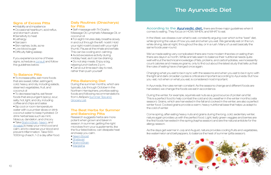# <span id="page-5-0"></span>Signs of Excess Pitta

- Irritability and impatience
- Occasional heartburn, acid reflux, and stomach ulcers
- Sensitivity to heat
- Lethargy
- Sarcasm
- Skin rashes, boils, acne
- Low blood sugar
- Difficulty falling asleep

If you experience some of these signs, schedule a [consult](https://lifespa.com/about-lifespa/ayurvedic-clinic/?utm_source=intro%20to%20ayurveda&utm_medium=ebook&utm_campaign=consultation) and follow the guidelines below.

# To Balance Pitta

- To increase pitta, eat more foods that are sweet, bitter, astringent, cold, heavy, and oily, including salads, steamed vegetables, fruit, and coconut oil
- To decrease kapha, eat fewer foods that are pungent (spicy), sour, salty, hot, light, and dry, including coffee and chips and salsa
- Sip cool or room-temperature water with cucumber slices or drink coconut water to keep hydrated. Or drink herbal teas such as mint, hibiscus, dandelion, and chicory.
- Take [Brahmi Brain](https://store.lifespa.com/product/brahmi-brain-capsules/?utm_source=ebook&utm_medium=intro&utm_campaign=Brahmi%20Brain), [Neem](https://store.lifespa.com/product/neem-plus-capsules/?utm_source=ebook&utm_medium=intro&utm_campaign=Neem%20Boost), and [Amalaki](https://store.lifespa.com/product/amalaki-amla-capsules/?utm_source=ebook&utm_medium=intro&utm_campaign=Amalaki) to keep your mind cool and calm, and to cleanse your blood and prevent inflammation. Take 500- 1000mg of each, 1-2 a day after food.

# Daily Routines (Dinacharya) for Pitta

According to the [Ayurvedic diet,](https://lifespa.com/about-lifespa/ayurveda/new-to-the-ayurvedic-diet/) there are three major quidelines when it comes to eating. They focus on HOW, WHEN, and WHAT to eat.

- Self-massage with Tri-Doshic Massage Oil, Lymphatic Massage Oil, or coconut oil
- For eight minutes daily, breathe slowly in and out through the left nostril. Hold your right nostril closed with your right thumb. Pause at the inhale and exhale. This can be cooling and calming.
- Avoid excessive activity during midday heat, as it can be draining
- Do not skip meals. Enjoy a big, relaxing lunch before 2 p.m.
- Carve out time each day to rest, rather than push yourself

We've made eating very complicated–there are more modern theories on eating than there are days in a month. While animals seem to balance their nutritional needs quite well without the technical knowledge of fats, proteins, and carbohydrates, we incessantly count calories and measure grams, only to find out about the latest study that tells us that the rules of eating have changed once again.

## Pitta-Balancing Diet

During the summer months, which are typically July through October in the Northern Hemisphere, prioritize eating foods and following recommendations from LifeSpa's [Summer Tips and](https://lifespa.com/wp-content/uploads/2009/06/summer-grocery-list_complete-chart_johndouillard1.pdf)  [Grocery List.](https://lifespa.com/wp-content/uploads/2009/06/summer-grocery-list_complete-chart_johndouillard1.pdf)

# The Best Herbs for Summer and Balancing Pitta

Research suggests herbs are more potent when grown and taken in season. In summer, getting the right microbes from your supplements, like the four listed below, can dissipate heat and keep you calm.

- [Neem Boost](https://store.lifespa.com/product/neem-plus-capsules/?utm_source=ebook&utm_medium=intro&utm_campaign=Neem%20Boost)
- [Shatavari](https://store.lifespa.com/product/shatavari-capsules/?utm_source=ebook&utm_medium=intro&utm_campaign=Shatavari)
- [Brahmi Brain](https://store.lifespa.com/product/brahmi-brain-capsules/?utm_source=ebook&utm_medium=intro&utm_campaign=Brahmi%20Brain)
- [Manjistha](https://store.lifespa.com/product/manjistha-capsules/?utm_source=ebook&utm_medium=intro&utm_campaign=Manjistha)

# The Ayurvedic Diet

In the West, we obsess over what to eat, constantly arguing over which is the "best" diet, while ignoring the value of how you eat and when you eat. We generally eat on the run, while driving, late at night, throughout the day, or in a rush. Many of us eat basically the same foods year-round.

Changing what you eat to be in sync with the seasons and when you eat to be in sync with the light and dark circadian cycles is critical are important according to Ayurveda. But how you eat, not when or what you eat, is considered most important.

In Ayurveda, the rules remain constant: As the seasons change and different foods are harvested, we change the foods we eat in accordance.

During the winter, for example, squirrels eat nuts as a good source of protein and fat. This is a perfect food to help combat the cold and dry weather in the winter months (vata season). Grains, which are harvested in the fall and cooked in the winter, are also a perfect winter food. Cooked grains provide a warm, heavy nutritional base that helps us adapt to the cold of winter.

Come spring, after eating heavy nuts and grains during the long, cold, sedentary winter, nature again provides us with the perfect food. Light, leafy green veggies and berries are the first foods harvested in the spring (kapha season) and are the natural antidote for the allergy season.

As the days get warmer in July and August, nature provides cooling fruits and vegetables, like watermelon and bell peppers, to balance the heat of summer (pitta season).

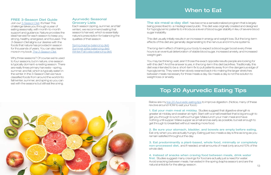## <span id="page-6-0"></span>FREE 3-Season Diet Guide

Join our [3-Season Diet](https://lifespa.com/3seasondietguide/). It's free! This challenge takes you through a year of eating seasonally, with month-to-month support and guidance. Nature provides the ideal harvest for each season to keep you strong, healthy, energized, and focused. The 3-Season Diet aligns our desires with the foods that nature has provided in season for thousands of years. You can also learn more in my book [The 3-Season Diet.](https://store.lifespa.com/product/3-season-diet/?utm_source=intro%20to%20ayurveda&utm_medium=ebook&utm_campaign=3%20Season%20Diet%20Book)

Why three seasons? Of course we're used to four seasons, but in nature, one season is typically dormant–a resting season. There are really three primary harvests—spring, summer, and fall, which is typically eaten in the winter. In the 3-Season Diet we have classified foods from around the world into fall/winter, summer, and spring so you can eat with the seasons but still eat like a king.

> Below are my [top 20 Ayurvedic eating tips](https://lifespa.com/digest-like-champ-enjoyable-ayurvedic-eating-tips/) to improve digestion. (Notice, many of these revolve around HOW to eat your food.)

**The six-meal-a-day diet** has become a sensationalized program that is largely being prescribed to a misdiagnosed public. This diet was originally created and designed for hypoglycemic patients to introduce a level of blood sugar stability in lieu of severe blood sugar instability.

# Ayurvedic Seasonal Grocery Lists

Each season (spring, summer, and fall/ winter), we recommend eating that season's harvest, which is essentially nature's prescription for balancing the qualities of that season.

[Spring \(kapha-balancing diet\)](https://lifespa.com/kapha-diet/) [Summer \(pitta-balancing diet\)](https://lifespa.com/pitta-diet/) [Winter/Fall \(vata-balancing diet\)](https://lifespa.com/winter-grocery-list-vata-balancing-diet/)

# When to Eat

# Top 20 Ayurvedic Eating Tips

1. Eat your main meal at midday. Studies suggest that digestive strength is greater at midday and weaker at night. Start with a small breakfast that is big enough to get you through to lunch without hunger. Make lunch your main meal and have nothing until supper. Make supper as small and as early as possible, but eat enough to get through to breakfast without needing more food.

4. Instead of snacks when craving food between meals, drink water first. Studies suggest many cravings for food are actually just a need for water. Avoid snacking between meals. harvested in the spring (kapha season) and are the natural antidote for the allergy season. 13



This diet usually initially results in an increase in energy and weight loss. But the long-term effects of this diet are generally degenerating to the nervous and immune systems.

The long-term effect of training your body to expect a blood sugar boost every three hours is an eventual deterioration of stable blood sugar, increased anxiety, and increased weight gain.

You may be thinking: wait, aren't those the exact opposite results people are looking for with this diet? And the answer is yes, in the long-term this diet backfires. Traditionally, this diet was intended to be a short-term fix to pull patients away from the dangerous edge of hypoglycemia. They were then slowly weaned back into making the larger stretches between meals necessary for three meals a day. Six meals a day is not the solution to weight loss or anxiety.

2. Be sure your stomach, bladder, and bowels are empty before eating. Eat only when you are actually hungry. Eating just two meals a day is fine as long as you remain satisfied throughout the day.

3. Eat predominantly a plant-based, whole food, minimally or completely non-processed diet, and if needed, small amounts of meat (only around 10% of the whole diet).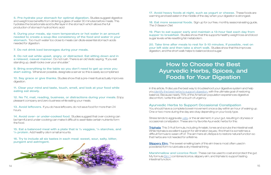<span id="page-7-0"></span>5. Pre-hydrate your stomach for optimal digestion. Studies suggest digestive and weight loss benefits from drinking a glass of water 30 minutes before meals. This hydrates the bicarbonate acid buffer layer in the stomach which allows the full production of stomach hydrochloric acid

9. Bring everything to the table so you don't need to get up once you start eating. Whenever possible, designate a server so this is easily accomplished.

6. During your meals, sip room temperature or hot water in an amount needed to create a soup-like consistency of the food and water in your stomach. Too much water too close to meals can dilute essential stomach acids needed for digestion.

10. Say grace or give thanks. Studies show that a pre-meal ritual actually improves digestion.

7. Do not drink iced beverages during your meals.

13. Avoid leftovers. If you do have leftovers, do not save food for more than 24 hours.

8. Do not eat while upset, angry, or distracted. Eat sitting down and in a relaxed, casual manner. Do not rush. There is an old Vedic saying, "If you eat standing up, death looks over your shoulder."

14. Avoid over- or under-cooked food. Studies suggest that over-cooking can be harmful and under-cooking can make it difficult to assimilate certain nutrients form the food.

15. Eat a balanced meal with a plate that is ½ veggies, ¼ starches, and <sup>1/4</sup> protein. Add healthy oils in small amounts.

17. Avoid heavy foods at night, such as yogurt or cheese. These foods are warming and best eaten in the middle of the day when your digestion is strongest.

18. Eat more seasonal foods. Sign up for our free, monthly seasonal eating quide, The 3-Season Diet.

11. Clear your mind and taste, touch, smell, and look at your food while eating eat slowly.

12. No TV, mail, reading, business, or distractions during your meals. Enjoy pleasant company and zero business while eating your meals.

16. Try to include all six tastes in each meal: sweet, sour, salty, bitter, pungent and astringent.

**[Triphala](https://store.lifespa.com/product/triphala-capsules-trifala/?utm_source=ebook&utm_medium=intro&utm_campaign=Triphala)**: This 3-fruit formula, including Amalaki, tones and scrubs the intestinal wall. While triphala is excellent support for elimination issues, I find that it is sometimes a difficult formula to wean off of. The aim here at LifeSpa is to restore natural function so that herbs are not needed for a lifetime.

**[Slippery Elm:](https://store.lifespa.com/product/slippery-elm-prebiotic-formula/?utm_source=intro%20to%20ayurveda&utm_medium=ebook&utm_campaign=Slippery%20Elm)** The sweet-smelling bark of this elm tree is most often used in powdered form to lubricate a dry intestinal lining.

Marshmallow and Licorice Root: These can be used to coat and protect the gut. My formula **[Elim 1](https://store.lifespa.com/product/elim-1-capsules/?utm_source=intro%20to%20ayurveda&utm_medium=ebook&utm_campaign=Elim%201)** combines licorice, slippery elm, and triphala to support lasting intestinal function.

19. Plan to eat supper early and maintain a 13-hour fast each day from supper to breakfast. Studies show that this supports healthy weight loss and blood sugar levels while resetting fat metabolism.

20. Take time after meals to rest for 5-10 minutes. If possible, rest on your left side and then take a short walk. Studies show that this improves digestion, and the short walk helps to balance blood sugar.

# How to Choose the Best Ayurvedic Herbs, Spices, and Foods for Your Digestion

In this article, I'll discuss the best way to troubleshoot your digestive system and help you [identify the best herbs to support digestion,](https://lifespa.com/perfecting-digestion-with-herbs/) with the ultimate goal of restoring balance. Because nearly 75% of the American population experiences digestive discomfort, I write this with a touch of urgency.

## Ayurvedic Herbs to Support Occasional Constipation

You should have a complete bowel movement once a day within an hour of waking up. One or two more during the day are okay depending on your body type.

Stress tends to aggravate [vata,](https://lifespa.com/vata-ayurvedic-constitution/) or the air element, in your gut, resulting in dryness or occasional constipation. These are my favorite Ayurvedic herbs for this:

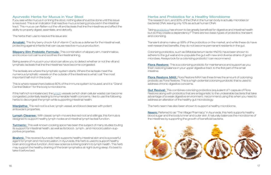# Ayurvedic Herbs for Mucus in Your Stool

If you see white mucus in or lining the stool, nothing else should be done until this issue is resolved. This is an indication that reactive mucus is being produced in the intestinal tract. This mucus can flatten out the villi and lacteals that line the intestines and affect the ability to properly digest, assimilate, and detoxify.

**[Amalaki:](https://store.lifespa.com/product/amalaki-amla-capsules/?utm_source=ebook&utm_medium=intro&utm_campaign=Amalaki)** This tiny berry chock-full of vitamin C acts as a defense for the intestinal wall, protecting against irritants that can cause reactive mucus production.

**Slippery Elm Prebiotic Formula:** This combination of slippery elm, marshmallow, and licorice root calms and soothes the intestinal lining.

The herbs that I use to resolve this issue are:

**Manjistha:** This red root is a liver, lymph vessel, and blood cleanser with potent antioxidant properties.

Being aware of mucus in your stool can allow you to detect whether or not the villi and lymphatic lacteals that line the intestines have become congested.

[Lymph Cleanse:](https://store.lifespa.com/product/lymph-cleanse/?utm_source=intro%20to%20ayurveda&utm_medium=ebook&utm_campaign=Lymph%20Cleanse) With classic lymph-movers like red root and stillingia, this formula is designed to support healthy lymph nodes and intestinal lymph lacteal function.

**Turmeric:** This well-known cooking spice has been the subject of many studies touting its support for intestinal health, as well as its blood-, lymph-, and microcirculation-supportive properties.

The lacteals are where the lymphatic system starts. Where the lacteals meet the numerous lymphatic vessels on the outside of the intestines is what I call "the most important half-inch in the body."

This is where researchers believe 80% of the immune system is housed, and it is "Grand Central Station" for the body's microbiome.

**Brahmi:** This revered Ayurvedic herb supports healthy intestinal skin and is a powerful agent for lymph and microcirculation. In Ayurveda, this herb is used to support healthy brain and cognitive function. And new science is linking brahmi to lymph health. This herb may support the healthy draining of the brain lymphatics at night during sleep. It's best to take it before bed.

If this half inch is imbalanced, the [lymph](https://lifespa.com/the-miracle-of-lymph/) vessels (which drain cellular waste) can become congested, potentially leading to innumerable health concerns. I like to use the following herbs to decongest the lymph while supporting intestinal health:

**[Flora Restore:](https://store.lifespa.com/product/flora-restore/?utm_source=intro%20to%20ayurveda&utm_medium=ebook&utm_campaign=Flora%20Restore)** This is a colonizing probiotic for maintenance and support as you finish restoring balance in your upper digestive tract, to the first part of the small intestine.

**[Flora Restore MAX:](https://store.lifespa.com/product/flora-restore-max/?utm_source=intro%20to%20ayurveda&utm_medium=ebook&utm_campaign=Flora%20Restore%20MAX)** Flora Restore MAX has three times the amount of colonizing probiotic as Flora Restore. This is a high-potential colonizing probiotic that is used to address chronic digestive concerns.

**Gut Revival:** This combines colonizing probiotics (equivalent of 1 capsule of Flora Restore) along with probiotics that are antagonistic to the undesirable bacteria that take advantage of a weak digestive environment. I recommend using this when you need to address an alteration of the healthy gut microbiology.

[Neem:](https://store.lifespa.com/product/neem-plus-capsules/?utm_source=ebook&utm_medium=intro&utm_campaign=Neem%20Boost) Referred to as "The Village Pharmacy" in Ayurveda, this herb supports healthy blood sugar and the body's inner and outer skin. It naturally balances the microbiome of the intestines by supporting the growth of beneficial bacteria.



# Herbs and Probiotics for a Healthy Microbiome

The research is in, and 90% of the DNA in the human body is actually microbial (or bacterial) DNA, leaving only 10% as actual human DNA!

Taking [probiotics](https://lifespa.com/ayurvedic-supplement-facts/probiotics/) has shown to be greatly beneficial for digestive and intestinal health but do they create a dependency? There are two basic types of probiotics: transient and colonizing.

Transient strains make up 99% of the probiotics on the market, and while these do have well-researched benefits, they do not become permanent residents in the gut.

Colonizing probiotics, such as Bifidobacterium lactis HN019, have been shown to adhere to the gut wall and re-populate the gut with new and diverse strains of good microbes. Always look for a colonizing probiotic! I can recommend:

The herb neem has also been shown to support a healthy microbiome.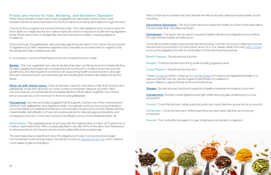# Foods and Herbs for Gas, Bloating, and Sensitive Digestion

When the lymphatic system becomes congested and elimination slows down, toxic substances are re-absorbed back into the liver rather than being eliminated through the stool.

Over time, this congests the liver and thickens bile. Thick bile weakens and compromises the liver's ability to metabolize fat and make ample bile, which is required to buffer strong digestive acids. When bile is thick or sludge-like, stomach acid accumulates, creating digestive imbalance.

**[Beets:](https://lifespa.com/beets/)** This root vegetable has natural nitrates that open up bile ducts and increase bile flow. Studies suggest that beets can increase the liver's production of detox enzymes such as glutathione, and decongest an ischemic liver, supporting healthy bowel function, stronger stomach acid production and reduced gas and bloating!36 A beet a day keeps the doctor away.

If this continues, the gallbladder will eventually signal the stomach to turn down the production of digestive acid. With weakened digestive acid, the ability to process hard-to-digest foods like wheat and dairy weakens as well.

**Olive oil with lemon juice:** Olive oil has been used for centuries to help flush the liver and gallbladder. It was first reported on in this context in the British Medical Journal in 1882. Lemons reduce uric acid levels and increase bile flow. When taken together, olive oil and lemon juice act as a mini-workout for the liver and gallbladder.

In my practice, I've found that these foods can increase the flow of bile:

**Fenugreek:** Numerous studies suggest that fenugreek may be one of the most powerful herbs for liver, gallbladder, and digestive health. Fenugreek works by removing cholesterol out of the bile and increasing the bile acid concentration by almost four times. Better bile flow means better detoxification of toxic fat-soluble pollutants, reduced gas and bloating, and increased production of stomach acid and an efficient scrub of the intestinal tracks villi.

**[Gymnema Sylvestre:](https://store.lifespa.com/product/sugar-destroyer-capsules/?utm_source=intro%20to%20ayurveda&utm_medium=ebook&utm_campaign=Sugar%20Destroyer)** This Ayurvedic herb promotes the healthy function of the islet cells in the pancreas that manufacture insulin.

**[Cinnamon:](https://lifespa.com/cinnamon-the-new-dopamine-booster-for-your-brain/)** This spice can be used to support healthy bile flow and digestive enzyme flow through the pancreatic and bile ducts.

**[Cardamom:](https://lifespa.com/your-daily-dose-of-cardamom/)** Boosts overall digestive strength while reducing gas, bloating and mucus production

**Cumin:** Cools the stomach while supporting stomach acid, bile flow, and enzyme production

**Coriander:** Cools the stomach while supporting stomach acid, bile flow, and enzyme production

**Fennel:** The most effective agent for gas, bloating and lymphatic congestion

Artichokes: This vegetable is among those with the highest-fiber content, at 10 grams for a medium-sized artichoke. Without adequate fiber in the diet, 94% of the bile in the intestines is re-absorbed back into the liver where it recirculates fatty toxic substances.

The pancreas plays a significant role in the digestive process. It produces blood sugar hormones like insulin and glucagon, as well as numerous [digestive enzymes](https://lifespa.com/digestive-enzymes-the-hidden-dangers/), which resolve most cases of gas and bloating.

Many of the same substances that cleanse the bile ducts also cleanse the pancreatic ducts, including:

Once bile and pancreatic juices (enzymes) are flowing, only then should you attempt to boost the stomach's production of hydrochloric acid (HCl). Our classic trikatu formula, [Warm Digest,](https://store.lifespa.com/product/warm-digest-trikatu-capsules/) turns up the digestive fire with a combination of the following three spices:

**Black Pepper:** Boosts acid production

**Ginger:** Protects the stomach lining while boosting digestive acid

Long Pepper: Boosts acid production

These [five spices](https://lifespa.com/five-ayurvedic-spices-digestion/) (which make up our [Gentle Digest](https://store.lifespa.com/product/gentle-digest-capsules/?utm_source=ebook&utm_medium=intro&utm_campaign=Gentle%20Digest) formula) boost digestive strength in a safe and gentle manner. Gentle Digest is specifically formulated for issues related to gas and bloat and food intolerances.

**[Ginger:](https://lifespa.com/ginger-magic/)** Boosts stomach acid and supports a healthy intestinal microbial environment

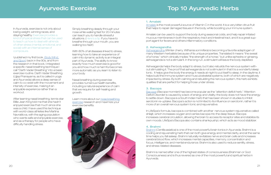# Ayurvedic Exercise

<span id="page-10-0"></span>In Ayurveda, exercise is not only about losing weight, winning races, and staying healthy. Exercise provides a kind of physical stress that can be used to teach us how to deal with all kinds of other stress (mental, emotional, and social) with an internal sense of composure.

I published my first book, [Body Mind,](https://store.lifespa.com/product/body-mind-and-sport/?utm_source=intro%20to%20ayurveda&utm_medium=ebook&utm_campaign=Mind,%20Body,%20Sport)  [and Sport,](https://store.lifespa.com/product/body-mind-and-sport/?utm_source=intro%20to%20ayurveda&utm_medium=ebook&utm_campaign=Mind,%20Body,%20Sport) back in the 90s, and from the research in that book, I integrated a specific nasal breathing technique I call "Darth Vader Breathing" into a basic exercise routine. Darth Vader Breathing (Ujjayi Pranayama, as it is called in yoga and Ayurveda) allows a deep sense of calm to co-exist with the movement and intensity of exercise, making it an enjoyable experience rather than a workout.

With 80% of all diseases linked to stress, learning how to take an experience of calm into dynamic activity is an integral part of Ayurveda. The ability to know exactly how much exercise is good for you and how much is harmful becomes more automatic as you learn to listen to your body.

After learning nasal breathing, tennis star Billie Jean King told me that she hadn't enjoyed exercise that much since she was a child. I have used this technique with world-class athletes like Martina Navratilova, with the aging population who wants safe and enjoyable exercise, and as a therapy for people who have difficulty handling stress.

Simply breathing deeply through your nose while walking fast for 20 minutes can teach you to handle stressful situations. (Here's a tip: If you have to breathe through your mouth, you are walking too fast!)

Nasal breathing during exercise provides numerous health benefits, including a natural experience of calm that we require for self-healing and growth.

Learn more about our [nose breathing](https://lifespa.com/ayurvedic-treatment-health-topics/nose-breathing/)  [exercise](https://lifespa.com/ayurvedic-treatment-health-topics/nose-breathing/) research and maximize your exercise benefits.

# Top 10 Ayurvedic Herbs

#### 1. Amalaki

[Amalaki](https://store.lifespa.com/product/amalaki-amla-capsules/?utm_source=ebook&utm_medium=intro&utm_campaign=Amalaki) is the most powerful source of Vitamin C in the world. It is a very bitter citrus fruit that helps to repair damaged tissues in the body, while boosting your immune system.

Amalaki can be used to support the body during seasonal colds, and help repair irritated mucous membranes in both the respiratory tract and intestinal tract, and it is a great support agent for fevers and others inflammatory conditions.

[Brahmi](https://store.lifespa.com/product/brahmi-brain-capsules/?utm_source=ebook&utm_medium=intro&utm_campaign=Brahmi%20Brain) (Centlla asiatica) is one of the most powerful brain tonics in Ayurveda. Brahmi is a cooling and rejuvenating herb that can both give energy and mental clarity, and at the same time helps you fall asleep. Brahmi naturally revitalizes nerve and brain cells and increases cerebral blood flow, which increases mental capacities, memory, concentration and focus, intelligence, and mental endurance. Brahmi is also used to reduce senility, stress, and stress-related diseases.

#### 2. Ashwagandha

[Ashwagandha](https://store.lifespa.com/product/ashwagandha-capsules/?utm_source=ebook&utm_medium=intro&utm_campaign=Ashwaghandha) (Winter cherry, Withania somnifera) is becoming a favorite adaptogen of many Western herbalists because of its unique properties. Translated it means "the sweat of a horse," which clinically implies "the strength of a horse," but unlike ephedra or ginseng, ashwaganda is not a stimulant. In the long run, a stimulant will leave the body depleted.

Ashwaganda helps the body adapt to stress, but it also rebuilds the nervous system without stimulating it. The proof that ashwaganda is not a stimulant in that it is a wonderful sleep tonic. It helps give the body the energy it needs at night to put itself to sleep. In the daytime, it helps build the immune system and musculoskeletal systems, both of which are negatively impacted by stress. By both calming and rebuilding the nervous system, this herb exhibits qualities that are perfect for helping those under stress.

#### 3. Bacopa

[Bacopa](https://store.lifespa.com/product/bacopa-capsules/?utm_source=intro%20to%20ayurveda&utm_medium=ebook&utm_campaign=Bacopa) (Bacopa monnieri) has become popular as the "attention deficit herb." Attention Deficit Disorder is caused by a lack of energy and vitality; the body does not have the energy to settle down. Bacopa is a South Indian herb that has been shown in studies to inhibit serotonin re-uptake. Bacopa's action is not limited to its influence on serotonin, rather it is more of an overall nervous system tonic and rejuvenative.

In LifeSpa's formula, bacopa is combined with another nervous system rejuvenative called shilajit, which increases oxygen and carries bacopa into the deep tissue. Bacopa increases cerebral circulation, allowing the brain to access its receptor sites and stabilize its own moods. LifeSpa's Bacopa also contains shankpushpi, which acts as mood stabilizer.

### 4. Brahmi

Brahmi is named after one of the highest states of consciousness (Brahman or God Consciousness) and is thus revered as one of the most powerful and spiritual herbs in Ayurveda.

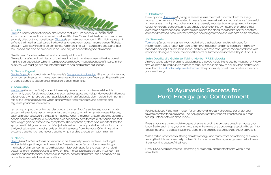

### 5. Elim I

[Elim I](https://store.lifespa.com/product/elim-1-capsules/?utm_source=intro%20to%20ayurveda&utm_medium=ebook&utm_campaign=Elim%201) is a combination of slippery elm, licorice root, psyllium seeds husk and triphala extract, which is used for chronic eliminative difficulties. When the intestinal tract becomes severely dried out and constipated, [Triphala](https://store.lifespa.com/product/triphala-capsules-trifala/?utm_source=ebook&utm_medium=intro&utm_campaign=Triphala) is sometimes not enough. Elim I lubricates and softens the intestinal wall, tones the bowel, and removes mucus. In some cases, Triphala and Elim I will initially need to be combined. In a short time, Elim I can be dropped, and later the Triphala can also be dropped, to be used only as needed for good elimination.

#### Elim I is used for intestinal repair and is primarily a lubricant.

Elimination is affected by irritation of the intestinal tract. Laxatives desensitize the bowel, making it unresponsive, which in turn produces reactive mucus because of irritants in the laxatives. We must go into the intestinal tract to heal and restore its function.

[Manjistha](https://store.lifespa.com/product/manjistha-capsules/?utm_source=ebook&utm_medium=intro&utm_campaign=Manjistha) (Rubia cordifolia) is one of the most powerful blood purifiers available. It is commonly used for skin discolorations, such as liver spots and vitiligo. However, I find it most effective as a lymphatic de-stagnator. Most health professionals don't realize the important role of the lymphatic system, which drains waste from your body and controls and regulates your immune system.

### 6. Gentle Digest

[Gentle Digest i](https://store.lifespa.com/product/gentle-digest-capsules/?utm_source=ebook&utm_medium=intro&utm_campaign=Gentle%20Digest)s a combination of Ayurveda's [five spices for digestion.](https://lifespa.com/five-ayurvedic-spices-digestion/) Ginger, cumin, fennel, coriander, and cardamom have been time-tested for thousands of years and have a library of good science to support their digestion-boosting benefits.

### 7. Manjistha

Lymph is pumped through muscular contractions, so if you're sedentary, your lymphatic system will eventually become sedentary and create toxicity in lymphatic-related tissues, such as breast tissue, skin, joints, and muscles. When the lymph system become sluggish, people complain of fatigue, exhaustion, skin conditions, sore throats, puffy hands and feet, and weight gain, to name a few symptoms. The lymphatic system is so important that the symptomatic list goes on and on. Manjistha is an herb that supports the natural function of the lymphatic system, feeding cells and flushing waste from the body. Oftentimes other systems treat the liver and never treat the lymph, and as a result, symptoms remain.

### 8. Neem

[Neem](https://store.lifespa.com/product/neem-plus-capsules/?utm_source=ebook&utm_medium=intro&utm_campaign=Neem%20Boost) (Azadirachta indica) is considered to be the most powerful antiviral, antifungal, antibacterial agent in Ayurvedic medicine. Neem is the perfect choice for resolving a multitude of skin concerns. Neem has been historically used for the treatment of skin in beauty and skin care products, and we employ it in our LifeSpa Skin Care line. Neem is invaluable support for acne, eczema, skin rashes, contact dermatitis, and it can play an important role in most other skin conditions.

### 9. Shatavari

In my opinion, [Shatavari](https://store.lifespa.com/product/shatavari-capsules/?utm_source=ebook&utm_medium=intro&utm_campaign=Shatavari) (Asparagus racemosus) is the most important herb for every woman to know about. Translated it means "a woman with a hundred husbands." It's useful for teenagers moving into puberty and is extremely important during pregnancy. It is very useful for infertility concerns, and extremely effective for the symptoms of premenstrual syndrome and menopause. Shatavari also cleans the blood, rebuilds the nervous system, acts as a hormonal precursor for estrogen and progesterone and is as safe as it is effective.

### 10. Turmeric

[Turmeric](https://store.lifespa.com/product/turmeric-plus-capsules/?utm_source=intro%20to%20ayurveda&utm_medium=ebook&utm_campaign=Turmeric%20Plus) (Curcuma longa) is an Ayurvedic herb that has been traditionally used for inflammation, tissue repair, liver, skin, and immune support and an antioxidant. It is mostly Kapha balancing. It builds rakta (blood) and de-inflames rasa (lymph). When combined with medicinal dosages of pippili, the clinical benefits of Turmeric are increased by 25% to 50%.

### John Douillard's Guide to Taking Herbs (FREE ebook)

Are you taking a few herbs and supplements that you would like to get the most out of? Now that you have figured out which herb to take, let's focus on how to adjust when and how you take them. [Our ebook on Ayurvedic herbs](https://lifespa.com/self-help/ebooks/dr-johns-guide-to-taking-herbs-%20ebook/) will help to quickly boost their positive impact on your well-being.

# 10 Ayurvedic Secrets for Pure Energy and Contentment

Feeling fatigued? You might reach for an energy drink, dark chocolate bar or get your favorite comfort food delivered. The indulgence may be wonderfully satisfying, but that feeling, unfortunately, is short-lived…

Energy boosters can stimulate surges of energy, but in the process deeply exhausts your body. Sadly, each time your energy surges in the wake of a double espresso, it will crash into deeper depths. To dig itself out of the depths, the brain seeks an even stronger stimulant.

With a million Americans suffering from low energy, and many more complaining of always feeling tired, this is not a small problem. To find a source of lasting energy, we must address the underlying cause of tiredness.

Here, 10 Ayurvedic secrets to unearthing pure energy and contentment, without the stimulants.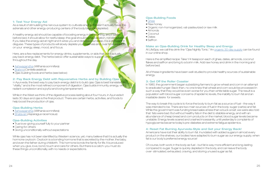#### 1: Test Your Energy Aid

As a result of stimulating the nervous system to cultivate energy it doesn't actually have, the adrenals and other energy-producing centers of the body become depleted.

A healthy energy aid should be capable of boosting energy in the morning, and if taken before bed, it should allow for restful sleep-the goal should be rejuvenation, not stimulation. If you take the energy aid at night and it wires you and disturbs your sleep, it is a stimulant in disguise. These types of products will slowly deplete your reserves and, over time, take tolls on your energy, sleep, mood, and focus.

Here, are a few replacements for energy drinks, supplements, or aids that don't actually pay back energy debt. The herbs below offer sustainable ways to support energy throughout the day.

In Ayurveda, the best way to pay back energy debt is to build *ojas*. Ojas is best translated as "vitality," and is the most refined component of digestion. Ojas builds immunity, energy, virility, radiant complexion and a joyful and loving temperament.

- • [Ashwagandha](https://store.lifespa.com/product/ashwagandha-capsules/?utm_source=ebook&utm_medium=intro&utm_campaign=Ashwaghandha) (Withania somnifera)
- • [Brahmi \(](https://store.lifespa.com/product/brahmi-brain-capsules/?utm_source=blog&utm_medium=lifespa.com&utm_campaign=brahmi%20brain)Centella asiatica)
- Ojas-building foods and herbs (see below)

2: Pay Back Energy Debt with Rejuvenative Herbs and by Building Ojas

While in the West we think of the digestive process lasting about four hours, in Ayurveda it lasts 30 days and ojas is the final product. There are certain herbs, activities, and foods to help boost the production of ojas.

#### Ojas-Building Herbs

- • [Ashwagandha](https://store.lifespa.com/product/ashwagandha-capsules/?utm_source=ebook&utm_medium=intro&utm_campaign=Ashwaghandha) (Withania somnifera)
- • [Shatavari](https://store.lifespa.com/product/shatavari-capsules/?utm_source=ebook&utm_medium=intro&utm_campaign=Shatavari) (Asparagus racemosus)

#### Ojas-Building Activities

- True love–giving yourself fully to your partner
- Caring for others
- Giving unconditionally without expectations

While ojas has not been identified by Western science, yet, many believe that it is actually the hormone oxytocin. Oxytocin is a bonding hormone that is secreted by the mother, the baby, and even the father during childbirth. This hormone bonds the family for life. It is produced when you give, love, bond, touch and care for others. But there is a catch–you must do these things unconditionally, with no needs or expectations.

#### Ojas-Building Foods

- • [Ghee](https://store.lifespa.com/product/farmtrue-ghee/?utm_source=intro%20to%20ayurveda&utm_medium=ebook&utm_campaign=Ghee)
- Raw honey
- Organic non-homogenized, vat-pasteurized or raw milk
- Almonds
- Coconut
- Dates
- Saffron

Make an Ojas-Building Drink for Healthy Sleep and Energy At LifeSpa, we call this drink the "Ojas Nightly Tonic." An [organic 30-day supply](https://store.lifespa.com/product/ojas-nightly-tonic/?utm_source=intro%20to%20ayurveda&utm_medium=ebook&utm_campaign=Ojas%20Nightly%20Tonic) can be found in our online shop.

Here is the simplified recipe: Take 1/4 teaspoon each of ghee, dates, almonds, coconut flakes and saffron and bring to a boil in milk. Add raw honey and drink in the morning and before bed.

All of these ingredients have been well-studied to provide healthy sources of sustainable energy.

#### 3: Get Off the Roller Coaster

In 1980, the government began subsidizing farmers to grow wheat and corn in an attempt to eradicate hunger. Back then, no one knew that wheat and corn would be processed in such a way that they would be even worse for you than white table sugar. The result is a population with blood sugar concerns of epidemic levels, the inability to burn fat and an insatiable desire for sweets.

The way to break this cycle is to force the body to burn fat as a source of fuel – the way it was intended to be. There are two main sources of fuel in the body: sugar (carbs) and fat. While the government was funding bread sales at less than a buck a loaf, we were also told that fats were bad. But without healthy fats in the diet to stabilize energy, and with an abundance of cheap bread and corn products on the market, blood sugar levels became unstable. Energy levels soared and crashed incessantly, until yesterday's complaints of hypoglycemia became today's pre-diabetes and extreme fatigue epidemics.

#### 4: Reset Fat Burning Ayurveda-Style and Get your Energy Back!

Americans have lost their ability to burn fat. Inundated with added sugars in almost every product on the shelves, our bodies have adapted to burn sugar as our energy supply, when fat is our body's preferred energy source!

Of course, both work in the body as fuel – but fat is way more efficient and long-lasting compared to sugar. Sugar is quickly depleted in the body, and can leave the body over- stimulated, exhausted, craving, and storing unused sugar as fat.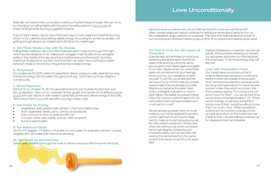<span id="page-13-0"></span>Basically, we need to train our bodies to start burning fat instead of sugar. We can do so by changing our eating habits with the goal of avoiding spikes in [blood sugar](https://lifespa.com/10-experiments-to-solve-your-blood-sugar-mystery/) by implementing the fat-burning suggestions below.

A good night's sleep may be one of the best ways to lose weight and reset fat burning which, in turn, delivers long-lasting, stable energy. According to numerous studies, not getting enough sleep is an independent risk factor for weight gain.

#### 5. Eat Three Meals a Day with No Snacks

Eating three meals per day burns fat in between each meal and through the night, which we are designed to do. Make lunch a bigger meal–studies show we digest better in the middle of the day (and this is traditional around the world). And stop snacking! Studies show we eat more food than we need. Have nothing but water between meals to force fat burning and achieve stable energy.

#### 6. Rehydrate!

Our bodies are 60-80% water. It's essential to deliver energy to cells, reset fat-burning, and boost energy. Sip hot water throughout the day. Drink half your body weight in ounces a day.

#### 7. Boost Digestion

#### It's Time to Drop the Old Layers of **Protection**

Drink 8-12 oz. of water 15-30 minutes before food to pre-hydrate the stomach and fire-up digestion. Take cumin, coriander, fennel, ginger, and cardamom (LifeSpa's [Gentle](https://store.lifespa.com/product/gentle-digest-capsules/?utm_source=ebook&utm_medium=intro&utm_campaign=Gentle%20Digest)  [Digest](https://store.lifespa.com/product/gentle-digest-capsules/?utm_source=ebook&utm_medium=intro&utm_campaign=Gentle%20Digest) formula) before or with meals to ignite fat burners and deliver energy to the cells. Take a short rest on your left side after your big midday meal.

#### 8. Eat Foods for Energy

- Vegetables–leafy greens, kale, spinach, chard and watercress
- Root vegetables–beets, yams, carrots, and potatoes
- Fats-coconut oil, olive oil, ghee and fish oils
- Complex carbs–oats, barely, quinoa, millet, amaranth
- Nut and seed butters

#### 9. Eat Balanced Meals

Aim for 1/2 veggies, 1/4 starch, 1/4 protein on your plate. For example: chicken, cooked veggies, yam, and salad with olive oil as dressing.

#### 10. Get Fresh Air and Exercise

Take a walk, breathing through the nose, to drive more prana (life force) into the body.

# Love Unconditionally

Have you ever wondered why we sometimes treat the ones we love the worst? Often, we are really just mad at ourselves for letting someone else's behavior turn us into unpleasant, angry versions of ourselves. This kind of emotional behavior is part of our unconscious mind and makes up about 95% of our actions and desires as an adult.

Science tells us that these unconscious behaviors are all learned in the first six years of life and they drive the same pre-programmed habits again and again in our lives. Maybe when you were three years old, someone hurt your feelings, and to survive, you needed to protect yourself. To do this, you employed the services of your mind to help you create a personality that would keep you safe. Maybe you became the rebel, class clown, a straight-A student or mom's best helper–the better you played these roles, the more you earned approval. You were safe, loved, and appreciated–who could ask for more?

We are all playing a lead role in a movie made by our minds designed to protect us from getting hurt, and we try really hard to make a movie that everyone will like. We casted ourselves in these roles when we were young, when our brains had a high degree of plasticity and impressionability, and we are often still reading the same lines from the same script in that same movie 30 or 40 years later.

Instead of pleasing our parents, we now (as adults) find ourselves pleasing our bosses, our spousees, and even our kids because the script says, "If I do these things, they will like me."

#### Love with Expectation Hurts

Our minds have convinced us that in order to feel loved, we have to continue to perform–even into a state of exhaustion. Soon we become resentful, because while bending over backwards for everyone else, sooner or later they will let you down. We find ourselves saying, "For crying out loud! I do so much for them – you would think they would show some appreciation!" Or, "If they would change, or just stop doing this or doing more of that, I would be willing to love them so much more." When we expect everyone in our world to change or love us back as a return on the investment we made to them, we are setting ourselves up for disappointment and disaster.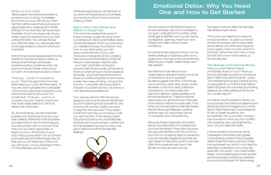What are ways that you let the truth of you shine and express your love freely and openly to others? How does that make you feel?

### Star in Your Own Movie–And Make it a Good One

The mind has created this world of illusion to keep us safe at a time when our senses, emotions and intellect were not yet developed. When you were two, you needed this type of protection. But now, in your adult years, you can become the director of your own movie and change the script, create a new scene, and even take on that role that you were always meant to play – your real, vulnerable, loving and powerful self. Science tells us that we do retain a certain amount of brain plasticity as adults—thus, we have the power to leave our childhood patterns behind and create new ways of being—living as the true you. Living a life without access to this part of yourself can be, in due time, a very depressing experience.

Your senses will only offer temporary pleasure, and your emotions will distract you from yearning to be yourself for only so long until, sooner or later, you have to step into this new role. The problem is that the mind has convinced you that you can't do this. "If I risk being myself fully and love everyone unconditionally and they don't love me back, I will be hurt and devastated. It is way too risky. Just play it safe and stuff those delicate feelings."

#### <span id="page-14-0"></span>Write a Love Letter

Take a paper and write a love letter to someone you love fully, completely. Someone you trust with all your heart. Tell them all the ways that you love and appreciate them–really go for it. While writing it, know that they will never read this letter–it is for your eyes only. As you write it, become aware of how you feel writing this letter. You will see that as you write this letter, you will actually feel loved, appreciated, cared for, and even important.

All the things we so desperately think we need from someone else to make us feel good are things we actually experience all by ourselves when we give love fully and freely–without any concern of receiving love back in return.

"I love you… but it is no concern of yours." This is the game the mind has been playing on us for all these years. To truly win, we must taste the vulnerability of true love by allowing ourselves to love without the need for any return on investment. "I love you… but it is no concern of yours" means I now know that what I really seek is to "be love" rather than "be loved."

So, find that family member that both pushes your buttons and yet you love them deeply. Write them that love letter and take a risk to act on the things you love about them with no concern that they love you back, appreciate, or approve of you. Simply act on your truth–that you love them. For a moment, just forget about the little things they do that set you off. Reacting to that is not you doing you, it is you reacting to them. For this exercise, just do you!

# Emotional Detox: Why You Need One and How to Get Started

Almost everyone has felt the impact of emotional stress. We commonly feel it in our guts—kids get tummy aches, while adults get butterflies, nervous stomachs, constipation, diarrhea, heart burn, and irritable and inflammatory bowel conditions.

Emotional stress happens when normal, healthy feelings of sadness, grief, worry, anger, and more become overwhelming, affecting your health, relationships, and self-esteem.

Sometimes if may feel as if your responses to stressful events come out of nowhere or are on autopilot. Studies suggest that 95% of the things we do and say, particularly when we are stressed, come from early childhood impressions. Our responses can become habitual, creating patterns of emotional behavior. These emotional responses can get stored as molecules of emotions in fat and muscle cells. Then, when you're exposed to a familiar stress, the emotions get released, creating another way our responses can be on autopilot, and overwhelming.

Because these molecules of emotion are an important part of our safety and survival mechanism, they often become the way we interface with the world. It's common to constantly react to situations in an emotionally triggered way that we don't seem to have any control over. We often find ourselves way down that familiar emotional road, such as

having an outburst, after the damage has already been done.

This is why we need the occasional emotional detox—to clear out stored emotions and start with a clean slate, which allows us to think and respond more clearly, in the moment, and from the heart, rather than the mind or body But first, let's cover what makes us emotionally sick.

#### The Biology of Emotional Stress

Have you ever had someone emotionally dump on you? Have you ever emotionally dumped on someone else? Often they feel the same--yucky. The interesting thing about being wrong or being right in a conflict is that neither feels that great. No one feels good being yelled at, and after yelling at someone, you usually regret it.

And either way it's stressful. Stress not only prompts old childhood patterns and stored emotions, it triggers your primal fight or flight response. Once designed for life-or-death situations, this sympathetic nervous system reaction can now kick in when you're in conflict with a partner, are overwhelmed by work, or can't deal with traffic.

In these situations, the body sends messages to the brain's amygdala, or processing center. If the amygdala determines that there's a threat, it tells the hypothalamus, which in turn tells the adrenals to call stress hormones, like adrenalin, into action. Your heart beats faster. Your breathing becomes quicker and blood sugar and fats are releases into your blood stream for fast energy.

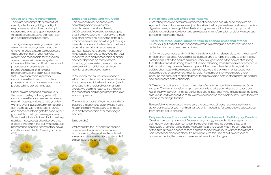#### Stress and Neurotransmitters

There are other impacts of stress that directly affect your gut. Fight or flight responses can slow down or disrupt digestion so energy is spent instead on threat defenses, causing stomach pain and gastrointestinal disorders.

Under severe emotional stress (like in the case of yelling or being yelled at), neurotransmitters such as serotonin are made in huge quantities to help you deal with the event. But serotonin transporters can't keep up with the serotonin surge and excess serotonin gets trapped in your gut, unable to help you manage stress. While the right about of serotonin can help stabilize mood, researchers believe that excess serotonin in the gut irritates mucus membranes, causing inflammatory bowel conditions like Irritable Bowel Syndrome  $(IBS)$ 

The digestive system is governed by its very own nervous system, called the enteric nervous system. Coincidentally, this is another part of your nervous system also responsible for managing stress. The enteric nervous system is often called the "second brain" because it produces and uses the same neurotransmitters, or chemical messengers, as the brain. Studies show that 95% of serotonin, a primary neurotransmitter linked to mood and processing emotional stress, is actually produced and stored in the gut.

#### Emotional Stress and Ayurveda

This science I discuss above was something ancient Ayurvedic practitioners understood. Nearly 3,000-year-old Ayurvedic texts suggest that the nervous system, along with stress and other emotions, originates in the gut. Emotions are carried from the gut through mental channels to the heart and the brain, prompting emotional responses such as heart-based love and compassion or mind-based fear and anger. Whether you react with love and compassion or anger and fear depends on many factors, including your experiences and trauma, particularly from childhood and your nutritional and digestive health.

In Ayurveda, the cause of all disease is when the mind and emotions overshadow the experience of the heart, or soul (read oneness with all around you). In others words, we begin to react to life through the filter of fear and anger rather than love and compassion.

The whole purpose of Ayurveda is to help balance the body and detoxify it so it can regain the clarity necessary to choose love and compassion over than anger and fear.

#### Simple right?

Well, while the task at hand may sound complicated, Ayurveda does have a simple way to release stored emotional stress and cleanse the body and mind of old behavioral patterns.

#### How to Release Old Emotional Patterns

Unravelling these old destructive patterns of behavior is actually quite easy with an Ayurvedic detox. Ayurveda never just detoxifies the body—treatments always include a digestive reset, a healing of the intestinal lining, a scrub of the liver and lymph, a fat soluble toxic substance detox, and a release and transformation of old unwanted patterns of emotional behavior.

#### There are three logical steps to take to change emotional stress:

1. Heal your gut so that it can respond to stress in a strong and healthy way and be a better transporter of neurotransmitters.

2. Convince your body and mind that it is safe enough to release old toxic molecules of emotion from fat cells. Ayurvedic cleanses use ghee to force the body to enter into fat metabolism. Fat is the body's calm fuel, versus sugar, which is the body's stimulating fuel. The first step to burning the calm fuel and releasing stored molecules of emotion is to burn fat. In the process of releasing fat soluble molecules of emotions, toxic fat soluble chemicals will be released as well. Yup, we store environmental toxics like pesticides and preservatives in our fat cells. Remember, they were stored there because the body lost its ability to break them down and detoxify them through normal and appropriate detox channels.

3. Take action to transform toxic molecules of emotion once they are released from storage. The key to transforming old emotions is to take action based on your truth rather than what your mind has convinced you is true. Your mind is quite attached to the status quo, so to access the truth, we have to become more self-aware. From there we can take meaningful action.

Be careful when you detox. Make sure the detox you choose resets digestive and detox pathways, or you may find that you only moved the fat soluble toxic substances from one fat cell to another.

#### Prepare for an Emotional Detox with This Ayurvedic Self-Inquiry Practice

One the main components of Ayurvedic psychology is called critical analysis, or self–inquiry, during a cleanse, when the body shifts into a fat-burning state and molecules of emotion, also called mental ama, are released. A self-inquiry practice at this time gives us access to these emotions and the ability to witness them from a non-emotional, objective place. It's from here, with this kind of self-awareness of unwanted habits, that we can make transformational changes.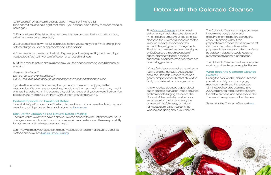<span id="page-16-0"></span>1. Ask yourself: What would I change about my partner? Make a list. (This doesn't have to be a significant other - you can focus on a family member, friend or colleague).

2. Pick one item off the list and the next time this person does the thing that bugs you, refrain from reacting immediately.

3. Let yourself cool down for 10-15 minutes before you say anything. While chilling, think of three things you love or appreciate about this person.

4. Now take action based on the truth: Express your love (inspired by the three things you just identified) with words of affection or an act of kindness.

5. Sit for a minute or two and evaluate how you feel after expressing love, kindness, or affection.

Are you still irritated? Do you feel any joy or happiness? Do you feel loved even though your partner hasn't changed their behavior?

If you feel better after this exercise, then you are on the road to enjoying better relationships. We often say to ourselves, I would love them so much more if they would change that behavior. In this exercise they didn't change at all yet you were filled up. You felt better and more loved by them without them changing anything.

#### Podcast Episode on Emotional Detox

Listen to LifeSpa Founder John Douillard discuss the emotional benefits of detoxing and resetting your digestive and metabolic systems. [Listen now.](https://lifespa.com/108-toxic-emotions-john-douillard/)

### Sign Up for LifeSpa's Free Natural Detox Training

The truth is that we always have a choice. We can choose to wait until those around us change or we can choose to practice compassion and self-love and take responsibility for our own emotional responses and health.

Learn how to reset your digestion, release molecules of toxic emotions, and boost fat metabolism in my free [Natural Detox Training](https://lifespa.com/free-video-training-critical-strategy-detox-body-naturally/).

The [Colorado Cleanse](https://lifespa.com/cleansing/colorado-cleanse/) is a two week, at-home, Ayurvedic digestive detox and lymph cleanse program. Unlike other fad cleanses, the Colorado Cleanse is rooted in sound medical science and the ancient cleansing wisdom of Ayurveda. This kitchari cleanse has been developed by Dr. Douillard through decades of clinical practice with thousands of successful cleansers, many of whom are now its biggest fans.

Where fad cleanses emphasize extreme fasting and dangerously unbalanced diets, the Colorado Cleanse relies on a gentle, simple kitchari diet that allows the body to burn fat without hunger pains.

And where fad cleanses trigger blood sugar crashes, starvation-mode cravings and immediate binging afterward, the Colorado Cleanse balances the blood sugar, allowing the body to enjoy the contented blissful energy of natural fat-metabolism, while you continue working and going about your daily life.

The Colorado Cleanse is unique because it repairs the body's detox and digestive channels before starting the detox. Cleansing without this preparation can move toxins from one fat cell to another, which defeats the purpose of cleansing and often manifests as stubborn digestive weakness and symptoms of lymphatic congestion.

The Colorado Cleanse can be done while working and leading your regular lifestyle.

#### What does the Colorado Cleanse involve?

During the two-week Colorado Cleanse, you will do a daily practice of yoga, meditation, and breathing exercises, 12 minutes of aerobic exercise, take Ayurvedic herbal formulas that support the detox process, and eat a special diet. There are three phases of the cleanse.

Sign up for the Colorado Cleanse [here.](https://lifespa.com/cleansing/colorado-cleanse/)

# Detox with the Colorado Cleanse

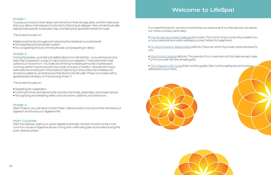#### <span id="page-17-0"></span>PHASE 1

To prep your body to flush deep-set toxins from their storage sites, we first make sure that your detox channels are functional by following an allergen-free, whole foods diet, eating three specific foods each day, and taking the specified herbal formulas.

This phase focuses on:

- Balancing the blood sugar and restoring the intestinal mucosal barrier
- De-stagnating the lymphatic system
- De-congesting the liver, thinning the bile, and preparing to detox

#### PHASE 2

During this phase, you'll eat a simplified diet of non-fat kitchari—a nourishing rice and bean dish prepared in a way to help re-boot your digestion. There are three meal options to choose from. You'll also be drinking increasing amounts of ghee each morning, performing the ancient Ayurvedic process of oleation. Special self-inquiry exercises are employed in this phase to help bring to the surface and release old emotions, patterns, and behaviors that store in the fat cells. Phase 2 is closed with a gentle laxative therapy on the evening of day 11.

This phase focuses on:

- Resetting fat metabolism.
- Flushing the liver and detoxing fat-soluble chemicals, pesticides, and preservatives.
- Recognizing and releasing destructive emotions, patterns, and behaviors.

#### PHASE 3

After Phase 2, you will return to the Phase 1 diet and add in a protocol that will reset your digestion and boost your digestive fire.

#### POST CLEANSE

After the cleanse, reset your upper digestive strength, the lack of which is the most common cause of digestive issues. A long-term well-being plan is provided during this post-cleanse phase.

If you liked this ebook, we recommend that you explore all of our free ebooks, as well as our online courses, particularly:

• [The 28-Day Ayurveda Challenge](https://store.lifespa.com/product/ayurveda-challenge-ecourse-online/) (eCourse): This month-long course will jumpstart you on your personal Ayurvedic wellness journey. Perfect for beginners!

• [Dr. John's Guide to Taking Herbs](https://lifespa.com/self-help/ebooks/dr-johns-guide-to-taking-herbs-ebook/) (eBook): Discover which Ayurvedic herbs are best for you.

• [Short Home Cleanse](https://lifespa.com/short-home-cleanse-ebook-cheat-sheet-download/) (eBook): Thousands of our customers do this cleanse each year.

- Try it for yourself with this simple guide.
- delivered to your inbox.





• [The 3-Season Diet Guide](https://lifespa.com/3seasondietguide/) (free monthly guide): Get monthly eating tips and recipes

# Welcome to LifeSpa!